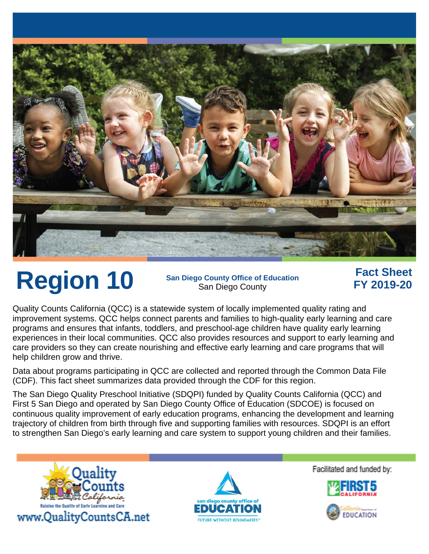

Region 10 San Diego County Office of Education San Diego County

### **Fact Sheet FY 2019-20**

Quality Counts California (QCC) is a statewide system of locally implemented quality rating and improvement systems. QCC helps connect parents and families to high-quality early learning and care programs and ensures that infants, toddlers, and preschool-age children have quality early learning experiences in their local communities. QCC also provides resources and support to early learning and care providers so they can create nourishing and effective early learning and care programs that will help children grow and thrive.

Data about programs participating in QCC are collected and reported through the Common Data File (CDF). This fact sheet summarizes data provided through the CDF for this region.

The San Diego Quality Preschool Initiative (SDQPI) funded by Quality Counts California (QCC) and First 5 San Diego and operated by San Diego County Office of Education (SDCOE) is focused on continuous quality improvement of early education programs, enhancing the development and learning trajectory of children from birth through five and supporting families with resources. SDQPI is an effort to strengthen San Diego's early learning and care system to support young children and their families.





Facilitated and funded by: